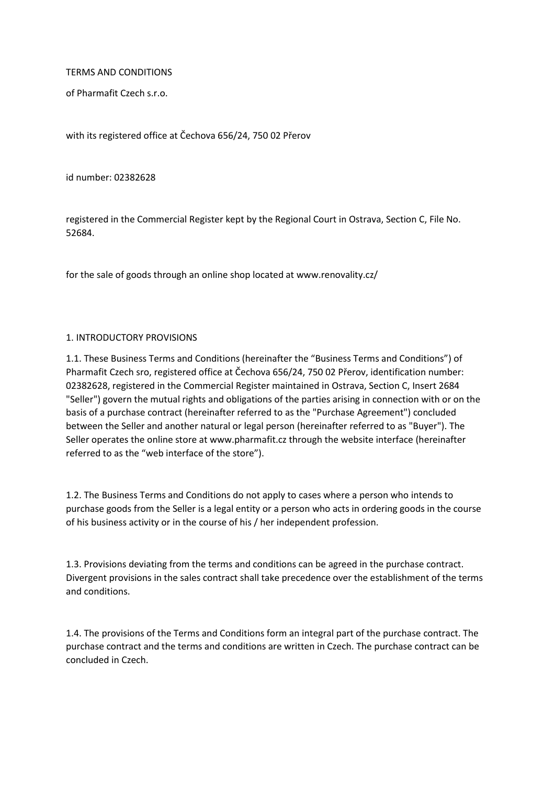#### TERMS AND CONDITIONS

of Pharmafit Czech s.r.o.

with its registered office at Čechova 656/24, 750 02 Přerov

id number: 02382628

registered in the Commercial Register kept by the Regional Court in Ostrava, Section C, File No. 52684.

for the sale of goods through an online shop located at www.renovality.cz/

#### 1. INTRODUCTORY PROVISIONS

1.1. These Business Terms and Conditions (hereinafter the "Business Terms and Conditions") of Pharmafit Czech sro, registered office at Čechova 656/24, 750 02 Přerov, identification number: 02382628, registered in the Commercial Register maintained in Ostrava, Section C, Insert 2684 "Seller") govern the mutual rights and obligations of the parties arising in connection with or on the basis of a purchase contract (hereinafter referred to as the "Purchase Agreement") concluded between the Seller and another natural or legal person (hereinafter referred to as "Buyer"). The Seller operates the online store at www.pharmafit.cz through the website interface (hereinafter referred to as the "web interface of the store").

1.2. The Business Terms and Conditions do not apply to cases where a person who intends to purchase goods from the Seller is a legal entity or a person who acts in ordering goods in the course of his business activity or in the course of his / her independent profession.

1.3. Provisions deviating from the terms and conditions can be agreed in the purchase contract. Divergent provisions in the sales contract shall take precedence over the establishment of the terms and conditions.

1.4. The provisions of the Terms and Conditions form an integral part of the purchase contract. The purchase contract and the terms and conditions are written in Czech. The purchase contract can be concluded in Czech.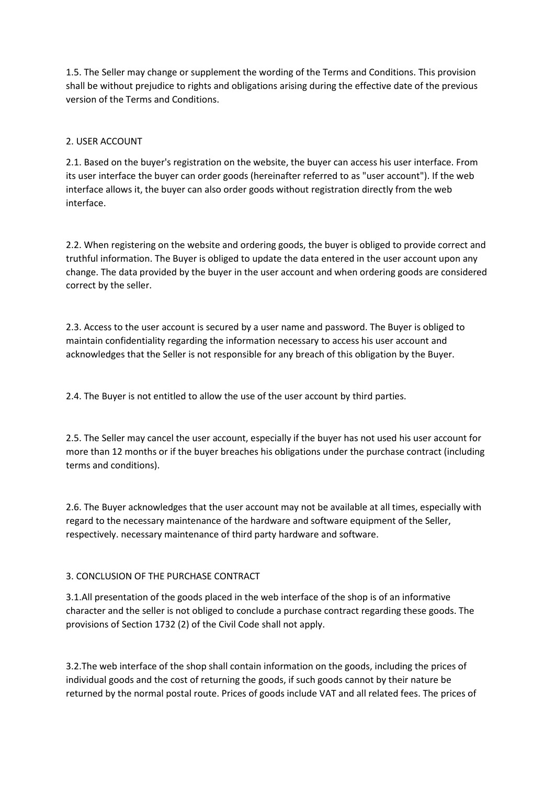1.5. The Seller may change or supplement the wording of the Terms and Conditions. This provision shall be without prejudice to rights and obligations arising during the effective date of the previous version of the Terms and Conditions.

# 2. USER ACCOUNT

2.1. Based on the buyer's registration on the website, the buyer can access his user interface. From its user interface the buyer can order goods (hereinafter referred to as "user account"). If the web interface allows it, the buyer can also order goods without registration directly from the web interface.

2.2. When registering on the website and ordering goods, the buyer is obliged to provide correct and truthful information. The Buyer is obliged to update the data entered in the user account upon any change. The data provided by the buyer in the user account and when ordering goods are considered correct by the seller.

2.3. Access to the user account is secured by a user name and password. The Buyer is obliged to maintain confidentiality regarding the information necessary to access his user account and acknowledges that the Seller is not responsible for any breach of this obligation by the Buyer.

2.4. The Buyer is not entitled to allow the use of the user account by third parties.

2.5. The Seller may cancel the user account, especially if the buyer has not used his user account for more than 12 months or if the buyer breaches his obligations under the purchase contract (including terms and conditions).

2.6. The Buyer acknowledges that the user account may not be available at all times, especially with regard to the necessary maintenance of the hardware and software equipment of the Seller, respectively. necessary maintenance of third party hardware and software.

# 3. CONCLUSION OF THE PURCHASE CONTRACT

3.1.All presentation of the goods placed in the web interface of the shop is of an informative character and the seller is not obliged to conclude a purchase contract regarding these goods. The provisions of Section 1732 (2) of the Civil Code shall not apply.

3.2.The web interface of the shop shall contain information on the goods, including the prices of individual goods and the cost of returning the goods, if such goods cannot by their nature be returned by the normal postal route. Prices of goods include VAT and all related fees. The prices of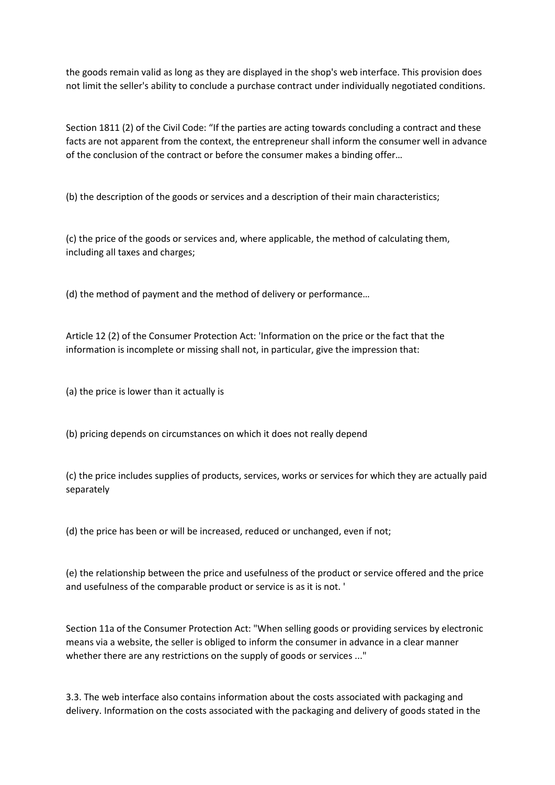the goods remain valid as long as they are displayed in the shop's web interface. This provision does not limit the seller's ability to conclude a purchase contract under individually negotiated conditions.

Section 1811 (2) of the Civil Code: "If the parties are acting towards concluding a contract and these facts are not apparent from the context, the entrepreneur shall inform the consumer well in advance of the conclusion of the contract or before the consumer makes a binding offer…

(b) the description of the goods or services and a description of their main characteristics;

(c) the price of the goods or services and, where applicable, the method of calculating them, including all taxes and charges;

(d) the method of payment and the method of delivery or performance…

Article 12 (2) of the Consumer Protection Act: 'Information on the price or the fact that the information is incomplete or missing shall not, in particular, give the impression that:

(a) the price is lower than it actually is

(b) pricing depends on circumstances on which it does not really depend

(c) the price includes supplies of products, services, works or services for which they are actually paid separately

(d) the price has been or will be increased, reduced or unchanged, even if not;

(e) the relationship between the price and usefulness of the product or service offered and the price and usefulness of the comparable product or service is as it is not. '

Section 11a of the Consumer Protection Act: "When selling goods or providing services by electronic means via a website, the seller is obliged to inform the consumer in advance in a clear manner whether there are any restrictions on the supply of goods or services ..."

3.3. The web interface also contains information about the costs associated with packaging and delivery. Information on the costs associated with the packaging and delivery of goods stated in the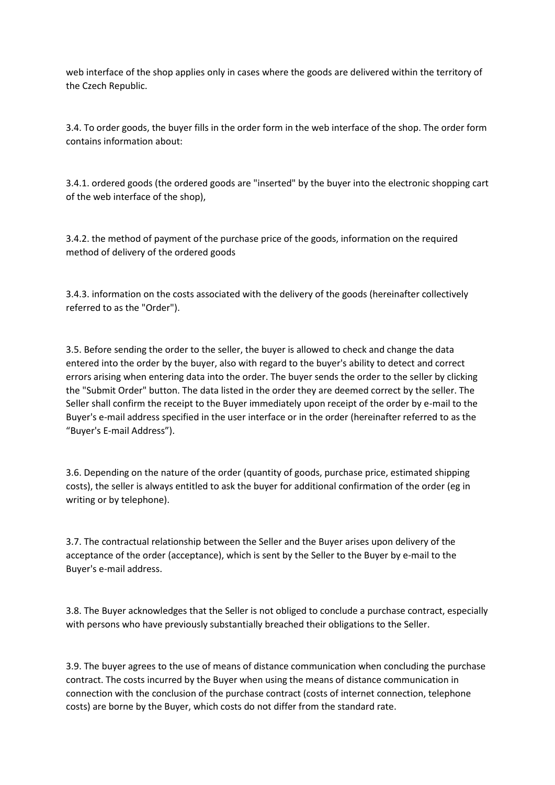web interface of the shop applies only in cases where the goods are delivered within the territory of the Czech Republic.

3.4. To order goods, the buyer fills in the order form in the web interface of the shop. The order form contains information about:

3.4.1. ordered goods (the ordered goods are "inserted" by the buyer into the electronic shopping cart of the web interface of the shop),

3.4.2. the method of payment of the purchase price of the goods, information on the required method of delivery of the ordered goods

3.4.3. information on the costs associated with the delivery of the goods (hereinafter collectively referred to as the "Order").

3.5. Before sending the order to the seller, the buyer is allowed to check and change the data entered into the order by the buyer, also with regard to the buyer's ability to detect and correct errors arising when entering data into the order. The buyer sends the order to the seller by clicking the "Submit Order" button. The data listed in the order they are deemed correct by the seller. The Seller shall confirm the receipt to the Buyer immediately upon receipt of the order by e-mail to the Buyer's e-mail address specified in the user interface or in the order (hereinafter referred to as the "Buyer's E-mail Address").

3.6. Depending on the nature of the order (quantity of goods, purchase price, estimated shipping costs), the seller is always entitled to ask the buyer for additional confirmation of the order (eg in writing or by telephone).

3.7. The contractual relationship between the Seller and the Buyer arises upon delivery of the acceptance of the order (acceptance), which is sent by the Seller to the Buyer by e-mail to the Buyer's e-mail address.

3.8. The Buyer acknowledges that the Seller is not obliged to conclude a purchase contract, especially with persons who have previously substantially breached their obligations to the Seller.

3.9. The buyer agrees to the use of means of distance communication when concluding the purchase contract. The costs incurred by the Buyer when using the means of distance communication in connection with the conclusion of the purchase contract (costs of internet connection, telephone costs) are borne by the Buyer, which costs do not differ from the standard rate.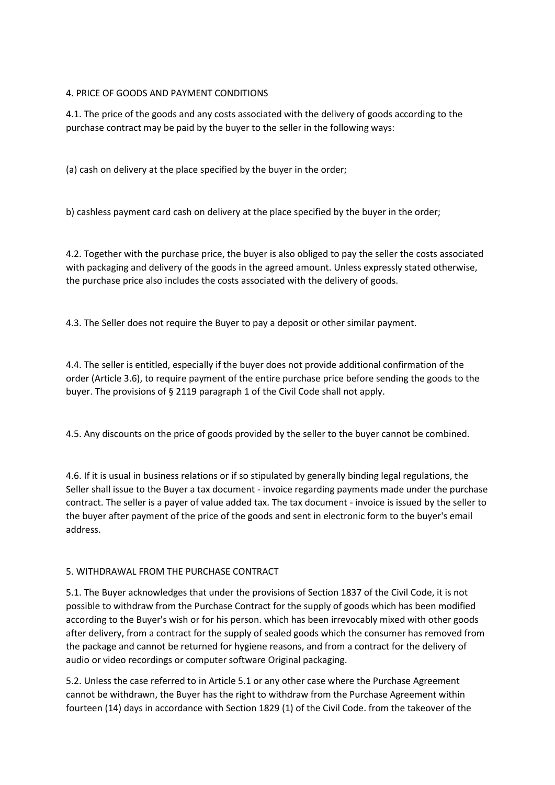# 4. PRICE OF GOODS AND PAYMENT CONDITIONS

4.1. The price of the goods and any costs associated with the delivery of goods according to the purchase contract may be paid by the buyer to the seller in the following ways:

(a) cash on delivery at the place specified by the buyer in the order;

b) cashless payment card cash on delivery at the place specified by the buyer in the order;

4.2. Together with the purchase price, the buyer is also obliged to pay the seller the costs associated with packaging and delivery of the goods in the agreed amount. Unless expressly stated otherwise, the purchase price also includes the costs associated with the delivery of goods.

4.3. The Seller does not require the Buyer to pay a deposit or other similar payment.

4.4. The seller is entitled, especially if the buyer does not provide additional confirmation of the order (Article 3.6), to require payment of the entire purchase price before sending the goods to the buyer. The provisions of § 2119 paragraph 1 of the Civil Code shall not apply.

4.5. Any discounts on the price of goods provided by the seller to the buyer cannot be combined.

4.6. If it is usual in business relations or if so stipulated by generally binding legal regulations, the Seller shall issue to the Buyer a tax document - invoice regarding payments made under the purchase contract. The seller is a payer of value added tax. The tax document - invoice is issued by the seller to the buyer after payment of the price of the goods and sent in electronic form to the buyer's email address.

## 5. WITHDRAWAL FROM THE PURCHASE CONTRACT

5.1. The Buyer acknowledges that under the provisions of Section 1837 of the Civil Code, it is not possible to withdraw from the Purchase Contract for the supply of goods which has been modified according to the Buyer's wish or for his person. which has been irrevocably mixed with other goods after delivery, from a contract for the supply of sealed goods which the consumer has removed from the package and cannot be returned for hygiene reasons, and from a contract for the delivery of audio or video recordings or computer software Original packaging.

5.2. Unless the case referred to in Article 5.1 or any other case where the Purchase Agreement cannot be withdrawn, the Buyer has the right to withdraw from the Purchase Agreement within fourteen (14) days in accordance with Section 1829 (1) of the Civil Code. from the takeover of the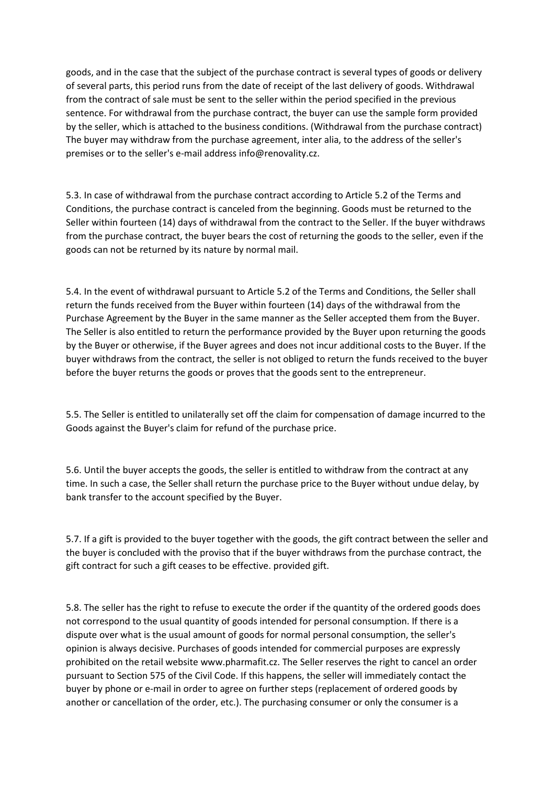goods, and in the case that the subject of the purchase contract is several types of goods or delivery of several parts, this period runs from the date of receipt of the last delivery of goods. Withdrawal from the contract of sale must be sent to the seller within the period specified in the previous sentence. For withdrawal from the purchase contract, the buyer can use the sample form provided by the seller, which is attached to the business conditions. (Withdrawal from the purchase contract) The buyer may withdraw from the purchase agreement, inter alia, to the address of the seller's premises or to the seller's e-mail address info@renovality.cz.

5.3. In case of withdrawal from the purchase contract according to Article 5.2 of the Terms and Conditions, the purchase contract is canceled from the beginning. Goods must be returned to the Seller within fourteen (14) days of withdrawal from the contract to the Seller. If the buyer withdraws from the purchase contract, the buyer bears the cost of returning the goods to the seller, even if the goods can not be returned by its nature by normal mail.

5.4. In the event of withdrawal pursuant to Article 5.2 of the Terms and Conditions, the Seller shall return the funds received from the Buyer within fourteen (14) days of the withdrawal from the Purchase Agreement by the Buyer in the same manner as the Seller accepted them from the Buyer. The Seller is also entitled to return the performance provided by the Buyer upon returning the goods by the Buyer or otherwise, if the Buyer agrees and does not incur additional costs to the Buyer. If the buyer withdraws from the contract, the seller is not obliged to return the funds received to the buyer before the buyer returns the goods or proves that the goods sent to the entrepreneur.

5.5. The Seller is entitled to unilaterally set off the claim for compensation of damage incurred to the Goods against the Buyer's claim for refund of the purchase price.

5.6. Until the buyer accepts the goods, the seller is entitled to withdraw from the contract at any time. In such a case, the Seller shall return the purchase price to the Buyer without undue delay, by bank transfer to the account specified by the Buyer.

5.7. If a gift is provided to the buyer together with the goods, the gift contract between the seller and the buyer is concluded with the proviso that if the buyer withdraws from the purchase contract, the gift contract for such a gift ceases to be effective. provided gift.

5.8. The seller has the right to refuse to execute the order if the quantity of the ordered goods does not correspond to the usual quantity of goods intended for personal consumption. If there is a dispute over what is the usual amount of goods for normal personal consumption, the seller's opinion is always decisive. Purchases of goods intended for commercial purposes are expressly prohibited on the retail website www.pharmafit.cz. The Seller reserves the right to cancel an order pursuant to Section 575 of the Civil Code. If this happens, the seller will immediately contact the buyer by phone or e-mail in order to agree on further steps (replacement of ordered goods by another or cancellation of the order, etc.). The purchasing consumer or only the consumer is a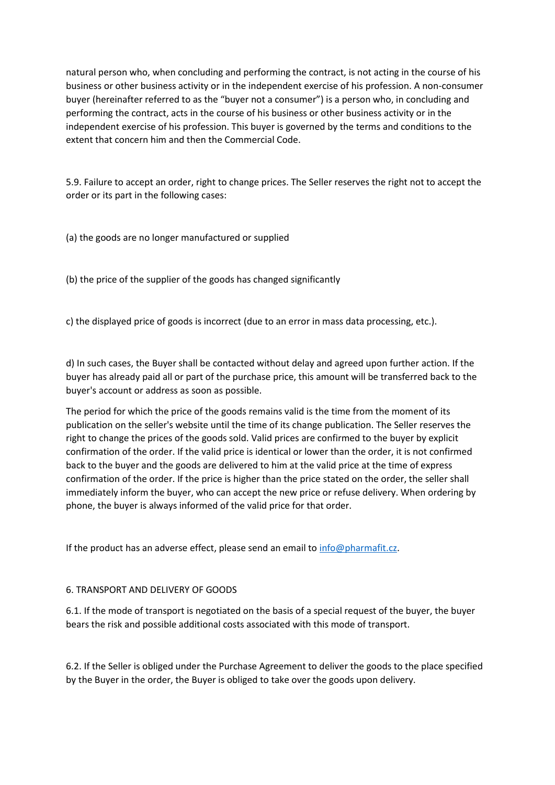natural person who, when concluding and performing the contract, is not acting in the course of his business or other business activity or in the independent exercise of his profession. A non-consumer buyer (hereinafter referred to as the "buyer not a consumer") is a person who, in concluding and performing the contract, acts in the course of his business or other business activity or in the independent exercise of his profession. This buyer is governed by the terms and conditions to the extent that concern him and then the Commercial Code.

5.9. Failure to accept an order, right to change prices. The Seller reserves the right not to accept the order or its part in the following cases:

(a) the goods are no longer manufactured or supplied

(b) the price of the supplier of the goods has changed significantly

c) the displayed price of goods is incorrect (due to an error in mass data processing, etc.).

d) In such cases, the Buyer shall be contacted without delay and agreed upon further action. If the buyer has already paid all or part of the purchase price, this amount will be transferred back to the buyer's account or address as soon as possible.

The period for which the price of the goods remains valid is the time from the moment of its publication on the seller's website until the time of its change publication. The Seller reserves the right to change the prices of the goods sold. Valid prices are confirmed to the buyer by explicit confirmation of the order. If the valid price is identical or lower than the order, it is not confirmed back to the buyer and the goods are delivered to him at the valid price at the time of express confirmation of the order. If the price is higher than the price stated on the order, the seller shall immediately inform the buyer, who can accept the new price or refuse delivery. When ordering by phone, the buyer is always informed of the valid price for that order.

If the product has an adverse effect, please send an email to  $info@phant$ 

#### 6. TRANSPORT AND DELIVERY OF GOODS

6.1. If the mode of transport is negotiated on the basis of a special request of the buyer, the buyer bears the risk and possible additional costs associated with this mode of transport.

6.2. If the Seller is obliged under the Purchase Agreement to deliver the goods to the place specified by the Buyer in the order, the Buyer is obliged to take over the goods upon delivery.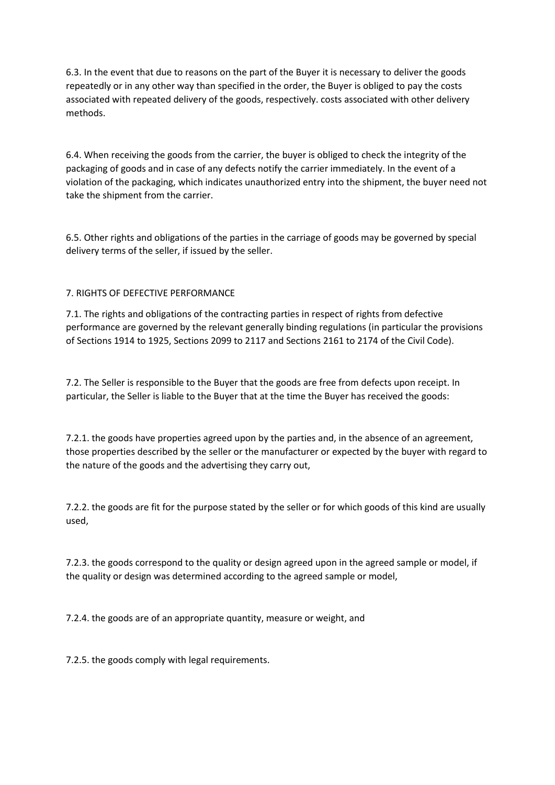6.3. In the event that due to reasons on the part of the Buyer it is necessary to deliver the goods repeatedly or in any other way than specified in the order, the Buyer is obliged to pay the costs associated with repeated delivery of the goods, respectively. costs associated with other delivery methods.

6.4. When receiving the goods from the carrier, the buyer is obliged to check the integrity of the packaging of goods and in case of any defects notify the carrier immediately. In the event of a violation of the packaging, which indicates unauthorized entry into the shipment, the buyer need not take the shipment from the carrier.

6.5. Other rights and obligations of the parties in the carriage of goods may be governed by special delivery terms of the seller, if issued by the seller.

## 7. RIGHTS OF DEFECTIVE PERFORMANCE

7.1. The rights and obligations of the contracting parties in respect of rights from defective performance are governed by the relevant generally binding regulations (in particular the provisions of Sections 1914 to 1925, Sections 2099 to 2117 and Sections 2161 to 2174 of the Civil Code).

7.2. The Seller is responsible to the Buyer that the goods are free from defects upon receipt. In particular, the Seller is liable to the Buyer that at the time the Buyer has received the goods:

7.2.1. the goods have properties agreed upon by the parties and, in the absence of an agreement, those properties described by the seller or the manufacturer or expected by the buyer with regard to the nature of the goods and the advertising they carry out,

7.2.2. the goods are fit for the purpose stated by the seller or for which goods of this kind are usually used,

7.2.3. the goods correspond to the quality or design agreed upon in the agreed sample or model, if the quality or design was determined according to the agreed sample or model,

7.2.4. the goods are of an appropriate quantity, measure or weight, and

7.2.5. the goods comply with legal requirements.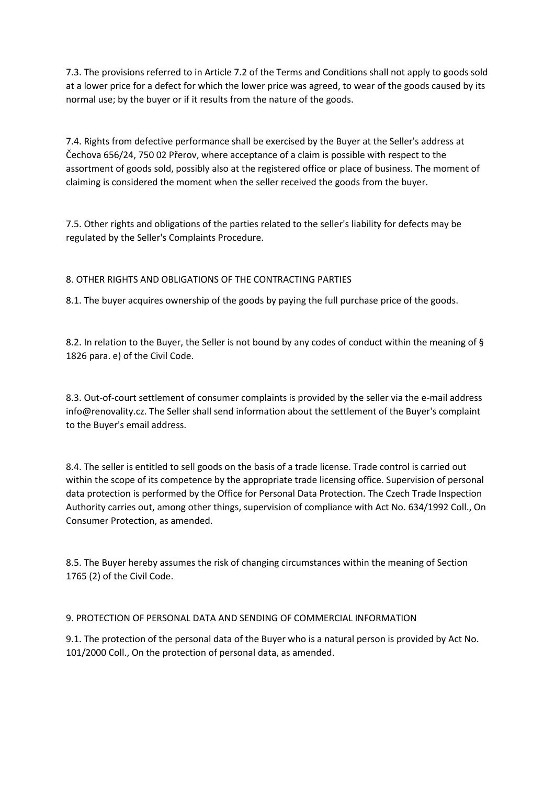7.3. The provisions referred to in Article 7.2 of the Terms and Conditions shall not apply to goods sold at a lower price for a defect for which the lower price was agreed, to wear of the goods caused by its normal use; by the buyer or if it results from the nature of the goods.

7.4. Rights from defective performance shall be exercised by the Buyer at the Seller's address at Čechova 656/24, 750 02 Přerov, where acceptance of a claim is possible with respect to the assortment of goods sold, possibly also at the registered office or place of business. The moment of claiming is considered the moment when the seller received the goods from the buyer.

7.5. Other rights and obligations of the parties related to the seller's liability for defects may be regulated by the Seller's Complaints Procedure.

# 8. OTHER RIGHTS AND OBLIGATIONS OF THE CONTRACTING PARTIES

8.1. The buyer acquires ownership of the goods by paying the full purchase price of the goods.

8.2. In relation to the Buyer, the Seller is not bound by any codes of conduct within the meaning of § 1826 para. e) of the Civil Code.

8.3. Out-of-court settlement of consumer complaints is provided by the seller via the e-mail address info@renovality.cz. The Seller shall send information about the settlement of the Buyer's complaint to the Buyer's email address.

8.4. The seller is entitled to sell goods on the basis of a trade license. Trade control is carried out within the scope of its competence by the appropriate trade licensing office. Supervision of personal data protection is performed by the Office for Personal Data Protection. The Czech Trade Inspection Authority carries out, among other things, supervision of compliance with Act No. 634/1992 Coll., On Consumer Protection, as amended.

8.5. The Buyer hereby assumes the risk of changing circumstances within the meaning of Section 1765 (2) of the Civil Code.

## 9. PROTECTION OF PERSONAL DATA AND SENDING OF COMMERCIAL INFORMATION

9.1. The protection of the personal data of the Buyer who is a natural person is provided by Act No. 101/2000 Coll., On the protection of personal data, as amended.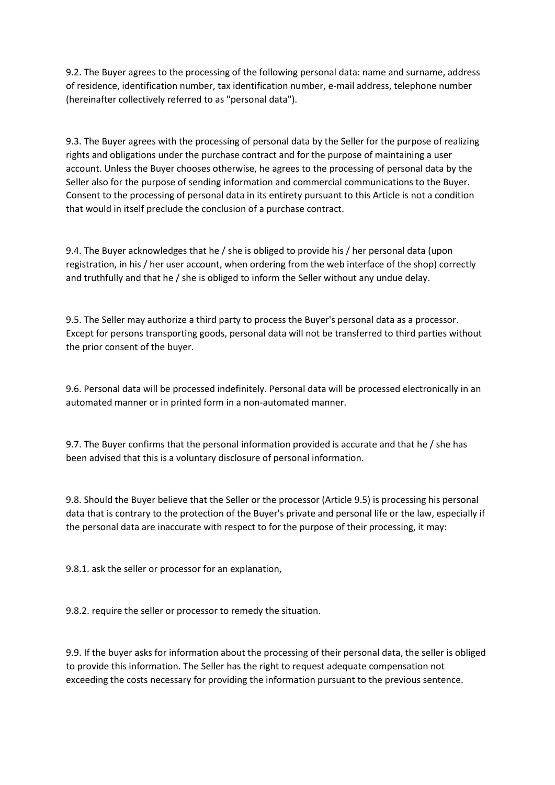9.2. The Buyer agrees to the processing of the following personal data: name and surname, address of residence, identification number, tax identification number, e-mail address, telephone number (hereinafter collectively referred to as "personal data").

9.3. The Buyer agrees with the processing of personal data by the Seller for the purpose of realizing rights and obligations under the purchase contract and for the purpose of maintaining a user account. Unless the Buyer chooses otherwise, he agrees to the processing of personal data by the Seller also for the purpose of sending information and commercial communications to the Buyer. Consent to the processing of personal data in its entirety pursuant to this Article is not a condition that would in itself preclude the conclusion of a purchase contract.

9.4. The Buyer acknowledges that he / she is obliged to provide his / her personal data (upon registration, in his / her user account, when ordering from the web interface of the shop) correctly and truthfully and that he / she is obliged to inform the Seller without any undue delay.

9.5. The Seller may authorize a third party to process the Buyer's personal data as a processor. Except for persons transporting goods, personal data will not be transferred to third parties without the prior consent of the buyer.

9.6. Personal data will be processed indefinitely. Personal data will be processed electronically in an automated manner or in printed form in a non-automated manner.

9.7. The Buyer confirms that the personal information provided is accurate and that he / she has been advised that this is a voluntary disclosure of personal information.

9.8. Should the Buyer believe that the Seller or the processor (Article 9.5) is processing his personal data that is contrary to the protection of the Buyer's private and personal life or the law, especially if the personal data are inaccurate with respect to for the purpose of their processing, it may:

9.8.1. ask the seller or processor for an explanation,

9.8.2. require the seller or processor to remedy the situation.

9.9. If the buyer asks for information about the processing of their personal data, the seller is obliged to provide this information. The Seller has the right to request adequate compensation not exceeding the costs necessary for providing the information pursuant to the previous sentence.